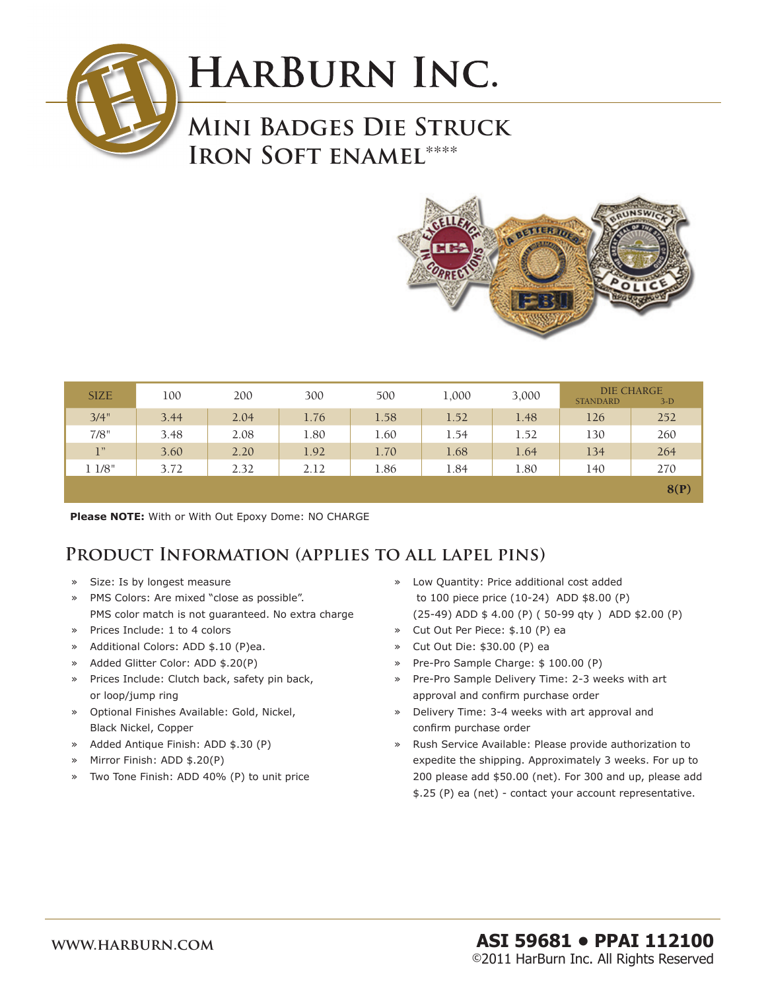

# **HARBURN INC.**

### **Mini Badges Die Struck Iron Soft enamel**\*\*\*\*



| <b>SIZE</b> | 100  | 200  | 300  | 500  | 1,000 | 3,000 | <b>DIE CHARGE</b><br><b>STANDARD</b><br>$3-D$ |      |
|-------------|------|------|------|------|-------|-------|-----------------------------------------------|------|
| 3/4"        | 3.44 | 2.04 | 1.76 | 1.58 | 1.52  | 1.48  | 126                                           | 252  |
| 7/8"        | 3.48 | 2.08 | 1.80 | 1.60 | 1.54  | 1.52  | 130                                           | 260  |
| 1"          | 3.60 | 2.20 | 1.92 | 1.70 | 1.68  | 1.64  | 134                                           | 264  |
| 11/8"       | 3.72 | 2.32 | 2.12 | 1.86 | 1.84  | 1.80  | 140                                           | 270  |
|             |      |      |      |      |       |       |                                               | 8(P) |

**Please NOTE:** With or With Out Epoxy Dome: NO CHARGE

#### **Product Information (applies to all lapel pins)**

- » Size: Is by longest measure
- » PMS Colors: Are mixed "close as possible". PMS color match is not guaranteed. No extra charge
- » Prices Include: 1 to 4 colors
- » Additional Colors: ADD \$.10 (P)ea.
- » Added Glitter Color: ADD \$.20(P)
- » Prices Include: Clutch back, safety pin back, or loop/jump ring
- » Optional Finishes Available: Gold, Nickel, Black Nickel, Copper
- » Added Antique Finish: ADD \$.30 (P)
- » Mirror Finish: ADD \$.20(P)
- » Two Tone Finish: ADD 40% (P) to unit price
- » Low Quantity: Price additional cost added to 100 piece price (10-24) ADD \$8.00 (P) (25-49) ADD \$ 4.00 (P) ( 50-99 qty ) ADD \$2.00 (P)
- » Cut Out Per Piece: \$.10 (P) ea
- » Cut Out Die: \$30.00 (P) ea
- » Pre-Pro Sample Charge: \$ 100.00 (P)
- » Pre-Pro Sample Delivery Time: 2-3 weeks with art approval and confirm purchase order
- » Delivery Time: 3-4 weeks with art approval and confirm purchase order
- » Rush Service Available: Please provide authorization to expedite the shipping. Approximately 3 weeks. For up to 200 please add \$50.00 (net). For 300 and up, please add \$.25 (P) ea (net) - contact your account representative.